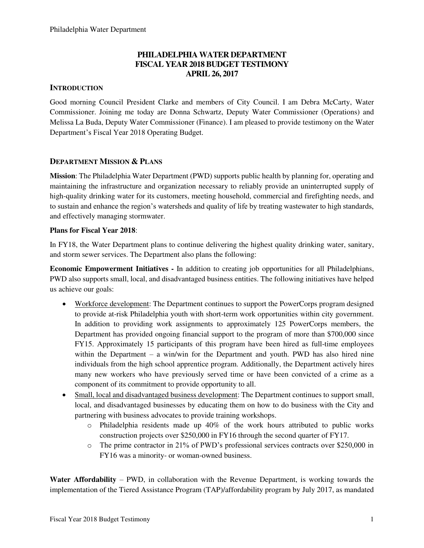## **PHILADELPHIA WATER DEPARTMENT FISCAL YEAR 2018 BUDGET TESTIMONY APRIL 26, 2017**

#### **INTRODUCTION**

Good morning Council President Clarke and members of City Council. I am Debra McCarty, Water Commissioner. Joining me today are Donna Schwartz, Deputy Water Commissioner (Operations) and Melissa La Buda, Deputy Water Commissioner (Finance). I am pleased to provide testimony on the Water Department's Fiscal Year 2018 Operating Budget.

#### **DEPARTMENT MISSION & PLANS**

**Mission**: The Philadelphia Water Department (PWD) supports public health by planning for, operating and maintaining the infrastructure and organization necessary to reliably provide an uninterrupted supply of high-quality drinking water for its customers, meeting household, commercial and firefighting needs, and to sustain and enhance the region's watersheds and quality of life by treating wastewater to high standards, and effectively managing stormwater.

#### **Plans for Fiscal Year 2018**:

In FY18, the Water Department plans to continue delivering the highest quality drinking water, sanitary, and storm sewer services. The Department also plans the following:

**Economic Empowerment Initiatives -** In addition to creating job opportunities for all Philadelphians, PWD also supports small, local, and disadvantaged business entities. The following initiatives have helped us achieve our goals:

- Workforce development: The Department continues to support the PowerCorps program designed to provide at-risk Philadelphia youth with short-term work opportunities within city government. In addition to providing work assignments to approximately 125 PowerCorps members, the Department has provided ongoing financial support to the program of more than \$700,000 since FY15. Approximately 15 participants of this program have been hired as full-time employees within the Department – a win/win for the Department and youth. PWD has also hired nine individuals from the high school apprentice program. Additionally, the Department actively hires many new workers who have previously served time or have been convicted of a crime as a component of its commitment to provide opportunity to all.
- Small, local and disadvantaged business development: The Department continues to support small, local, and disadvantaged businesses by educating them on how to do business with the City and partnering with business advocates to provide training workshops.
	- $\circ$  Philadelphia residents made up 40% of the work hours attributed to public works construction projects over \$250,000 in FY16 through the second quarter of FY17.
	- o The prime contractor in 21% of PWD's professional services contracts over \$250,000 in FY16 was a minority- or woman-owned business.

**Water Affordability** – PWD, in collaboration with the Revenue Department, is working towards the implementation of the Tiered Assistance Program (TAP)/affordability program by July 2017, as mandated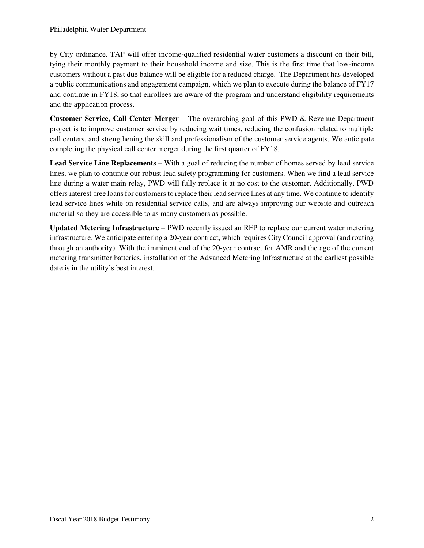by City ordinance. TAP will offer income-qualified residential water customers a discount on their bill, tying their monthly payment to their household income and size. This is the first time that low-income customers without a past due balance will be eligible for a reduced charge. The Department has developed a public communications and engagement campaign, which we plan to execute during the balance of FY17 and continue in FY18, so that enrollees are aware of the program and understand eligibility requirements and the application process.

**Customer Service, Call Center Merger** – The overarching goal of this PWD & Revenue Department project is to improve customer service by reducing wait times, reducing the confusion related to multiple call centers, and strengthening the skill and professionalism of the customer service agents. We anticipate completing the physical call center merger during the first quarter of FY18.

**Lead Service Line Replacements** – With a goal of reducing the number of homes served by lead service lines, we plan to continue our robust lead safety programming for customers. When we find a lead service line during a water main relay, PWD will fully replace it at no cost to the customer. Additionally, PWD offers interest-free loans for customers to replace their lead service lines at any time. We continue to identify lead service lines while on residential service calls, and are always improving our website and outreach material so they are accessible to as many customers as possible.

**Updated Metering Infrastructure** – PWD recently issued an RFP to replace our current water metering infrastructure. We anticipate entering a 20-year contract, which requires City Council approval (and routing through an authority). With the imminent end of the 20-year contract for AMR and the age of the current metering transmitter batteries, installation of the Advanced Metering Infrastructure at the earliest possible date is in the utility's best interest.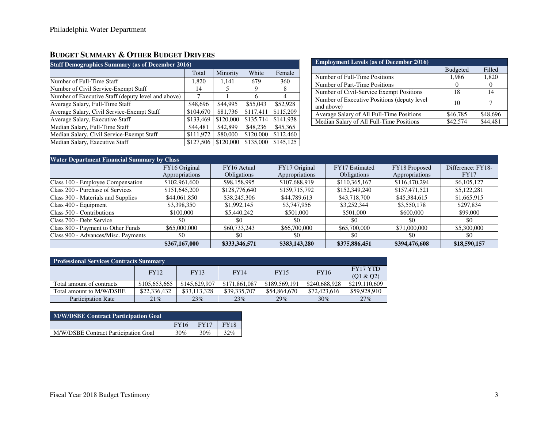## **BUDGET SUMMARY & OTHER BUDGET DRIVERS**

| <b>Staff Demographics Summary (as of December 2016)</b> |           |           |           |           |  |  |  |  |
|---------------------------------------------------------|-----------|-----------|-----------|-----------|--|--|--|--|
|                                                         | Total     | Minority  | White     | Female    |  |  |  |  |
| Number of Full-Time Staff                               | 1,820     | 1.141     | 679       | 360       |  |  |  |  |
| Number of Civil Service-Exempt Staff                    | 14        |           | 9         | 8         |  |  |  |  |
| Number of Executive Staff (deputy level and above)      | 7         |           | 6         | 4         |  |  |  |  |
| Average Salary, Full-Time Staff                         | \$48,696  | \$44,995  | \$55,043  | \$52,928  |  |  |  |  |
| Average Salary, Civil Service-Exempt Staff              | \$104,670 | \$81,736  | \$117.411 | \$115,209 |  |  |  |  |
| Average Salary, Executive Staff                         | \$133,469 | \$120,000 | \$135,714 | \$141,938 |  |  |  |  |
| Median Salary, Full-Time Staff                          | \$44,481  | \$42,899  | \$48,236  | \$45,365  |  |  |  |  |
| Median Salary, Civil Service-Exempt Staff               | \$111,972 | \$80,000  | \$120,000 | \$112,460 |  |  |  |  |
| Median Salary, Executive Staff                          | \$127,506 | \$120,000 | \$135,000 | \$145,125 |  |  |  |  |

| <b>Employment Levels (as of December 2016)</b>            |                 |          |  |  |  |  |
|-----------------------------------------------------------|-----------------|----------|--|--|--|--|
|                                                           | <b>Budgeted</b> | Filled   |  |  |  |  |
| Number of Full-Time Positions                             | 1,986           | 1,820    |  |  |  |  |
| Number of Part-Time Positions                             |                 | $\theta$ |  |  |  |  |
| Number of Civil-Service Exempt Positions                  | 18              | 14       |  |  |  |  |
| Number of Executive Positions (deputy level<br>and above) | 10              |          |  |  |  |  |
| Average Salary of All Full-Time Positions                 | \$46,785        | \$48,696 |  |  |  |  |
| Median Salary of All Full-Time Positions                  | \$42,574        | \$44,481 |  |  |  |  |

| <b>Water Department Financial Summary by Class</b> |                |               |                |                    |                |                   |  |  |
|----------------------------------------------------|----------------|---------------|----------------|--------------------|----------------|-------------------|--|--|
|                                                    | FY16 Original  | FY16 Actual   | FY17 Original  | FY17 Estimated     | FY18 Proposed  | Difference: FY18- |  |  |
|                                                    | Appropriations | Obligations   | Appropriations | <b>Obligations</b> | Appropriations | <b>FY17</b>       |  |  |
| Class 100 - Employee Compensation                  | \$102,961,600  | \$98,158,995  | \$107,688,919  | \$110,365,167      | \$116,470,294  | \$6,105,127       |  |  |
| Class 200 - Purchase of Services                   | \$151,645,200  | \$128,776,640 | \$159,715,792  | \$152,349,240      | \$157,471,521  | \$5,122,281       |  |  |
| Class 300 - Materials and Supplies                 | \$44,061,850   | \$38,245,306  | \$44,789,613   | \$43,718,700       | \$45,384,615   | \$1,665,915       |  |  |
| Class 400 - Equipment                              | \$3,398,350    | \$1,992,145   | \$3,747,956    | \$3,252,344        | \$3,550,178    | \$297,834         |  |  |
| Class 500 - Contributions                          | \$100,000      | \$5,440,242   | \$501,000      | \$501,000          | \$600,000      | \$99,000          |  |  |
| Class 700 - Debt Service                           | \$0            | \$0           | \$0            | \$0                | \$0            | \$0               |  |  |
| Class 800 - Payment to Other Funds                 | \$65,000,000   | \$60,733,243  | \$66,700,000   | \$65,700,000       | \$71,000,000   | \$5,300,000       |  |  |
| Class 900 - Advances/Misc. Payments                | \$0            | \$0           | \$0            | \$0                | \$0            | \$0               |  |  |
|                                                    | \$367,167,000  | \$333,346,571 | \$383,143,280  | \$375,886,451      | \$394,476,608  | \$18,590,157      |  |  |

| <b>Professional Services Contracts Summary</b> |               |               |               |               |               |                       |  |  |
|------------------------------------------------|---------------|---------------|---------------|---------------|---------------|-----------------------|--|--|
|                                                | <b>FY12</b>   | FY13          | FY14          | <b>FY15</b>   | <b>FY16</b>   | FY17 YTD<br>(Q1 & Q2) |  |  |
| Total amount of contracts                      | \$105,653,665 | \$145,629,907 | \$171,861,087 | \$189,569,191 | \$240,688,928 | \$219,110,609         |  |  |
| Total amount to M/W/DSBE                       | \$22,336,432  | \$33,113,328  | \$39,335,707  | \$54,864,670  | \$72,423,616  | \$59,928,910          |  |  |
| <b>Participation Rate</b>                      | 21%           | 23%           | 23%           | 29%           | 30%           | 27%                   |  |  |

| <b>M/W/DSBE Contract Participation Goal</b> |               |     |             |  |  |  |  |
|---------------------------------------------|---------------|-----|-------------|--|--|--|--|
|                                             | $FY16$ $FY17$ |     | <b>FY18</b> |  |  |  |  |
| M/W/DSBE Contract Participation Goal        | 30%           | 30% | 32%         |  |  |  |  |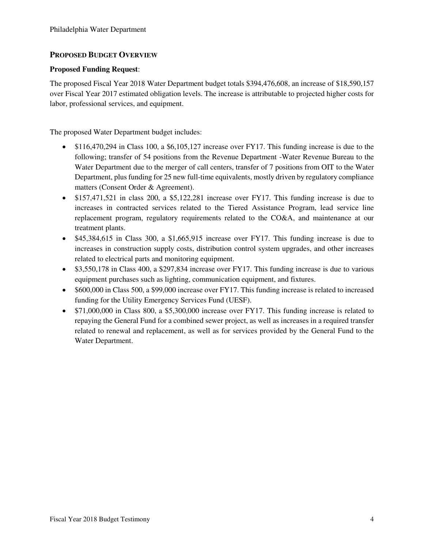#### **PROPOSED BUDGET OVERVIEW**

#### **Proposed Funding Request**:

The proposed Fiscal Year 2018 Water Department budget totals \$394,476,608, an increase of \$18,590,157 over Fiscal Year 2017 estimated obligation levels. The increase is attributable to projected higher costs for labor, professional services, and equipment.

The proposed Water Department budget includes:

- \$116,470,294 in Class 100, a \$6,105,127 increase over FY17. This funding increase is due to the following; transfer of 54 positions from the Revenue Department -Water Revenue Bureau to the Water Department due to the merger of call centers, transfer of 7 positions from OIT to the Water Department, plus funding for 25 new full-time equivalents, mostly driven by regulatory compliance matters (Consent Order & Agreement).
- \$157,471,521 in class 200, a \$5,122,281 increase over FY17. This funding increase is due to increases in contracted services related to the Tiered Assistance Program, lead service line replacement program, regulatory requirements related to the CO&A, and maintenance at our treatment plants.
- \$45,384,615 in Class 300, a \$1,665,915 increase over FY17. This funding increase is due to increases in construction supply costs, distribution control system upgrades, and other increases related to electrical parts and monitoring equipment.
- \$3,550,178 in Class 400, a \$297,834 increase over FY17. This funding increase is due to various equipment purchases such as lighting, communication equipment, and fixtures.
- \$600,000 in Class 500, a \$99,000 increase over FY17. This funding increase is related to increased funding for the Utility Emergency Services Fund (UESF).
- \$71,000,000 in Class 800, a \$5,300,000 increase over FY17. This funding increase is related to repaying the General Fund for a combined sewer project, as well as increases in a required transfer related to renewal and replacement, as well as for services provided by the General Fund to the Water Department.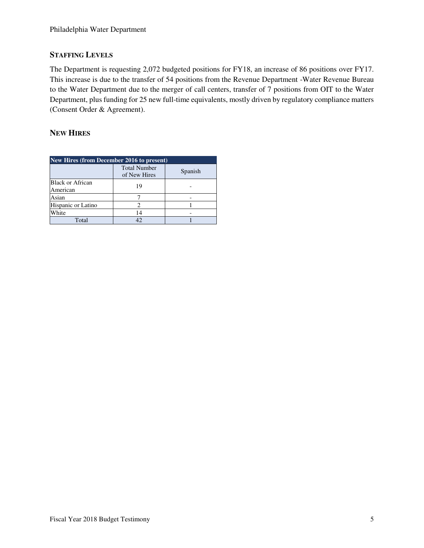### **STAFFING LEVELS**

The Department is requesting 2,072 budgeted positions for FY18, an increase of 86 positions over FY17. This increase is due to the transfer of 54 positions from the Revenue Department -Water Revenue Bureau to the Water Department due to the merger of call centers, transfer of 7 positions from OIT to the Water Department, plus funding for 25 new full-time equivalents, mostly driven by regulatory compliance matters (Consent Order & Agreement).

## **NEW HIRES**

| <b>New Hires (from December 2016 to present)</b> |                                     |         |  |  |  |  |  |
|--------------------------------------------------|-------------------------------------|---------|--|--|--|--|--|
|                                                  | <b>Total Number</b><br>of New Hires | Spanish |  |  |  |  |  |
| <b>Black or African</b><br>American              | 19                                  |         |  |  |  |  |  |
| Asian                                            |                                     |         |  |  |  |  |  |
| Hispanic or Latino                               |                                     |         |  |  |  |  |  |
| White                                            | 14                                  |         |  |  |  |  |  |
| Total                                            | 42                                  |         |  |  |  |  |  |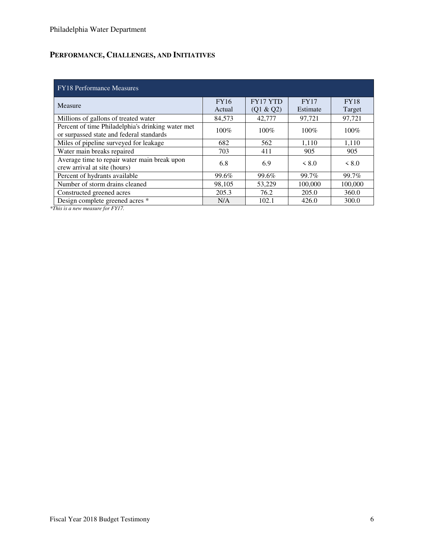# **PERFORMANCE, CHALLENGES, AND INITIATIVES**

| <b>FY18</b> Performance Measures                                                              |                       |                              |                         |                       |  |  |  |  |
|-----------------------------------------------------------------------------------------------|-----------------------|------------------------------|-------------------------|-----------------------|--|--|--|--|
| Measure                                                                                       | <b>FY16</b><br>Actual | <b>FY17 YTD</b><br>(Q1 & Q2) | <b>FY17</b><br>Estimate | <b>FY18</b><br>Target |  |  |  |  |
| Millions of gallons of treated water                                                          | 84,573                | 42,777                       | 97,721                  | 97,721                |  |  |  |  |
| Percent of time Philadelphia's drinking water met<br>or surpassed state and federal standards | $100\%$               | $100\%$                      | $100\%$                 | $100\%$               |  |  |  |  |
| Miles of pipeline surveyed for leakage                                                        | 682                   | 562                          | 1,110                   | 1,110                 |  |  |  |  |
| Water main breaks repaired                                                                    | 703                   | 411                          | 905                     | 905                   |  |  |  |  |
| Average time to repair water main break upon<br>crew arrival at site (hours)                  | 6.8                   | 6.9                          | < 8.0                   | < 8.0                 |  |  |  |  |
| Percent of hydrants available                                                                 | 99.6%                 | 99.6%                        | 99.7%                   | 99.7%                 |  |  |  |  |
| Number of storm drains cleaned                                                                | 98.105                | 53,229                       | 100,000                 | 100,000               |  |  |  |  |
| Constructed greened acres                                                                     | 205.3                 | 76.2                         | 205.0                   | 360.0                 |  |  |  |  |
| Design complete greened acres *                                                               | N/A                   | 102.1                        | 426.0                   | 300.0                 |  |  |  |  |

*\*This is a new measure for FY17.*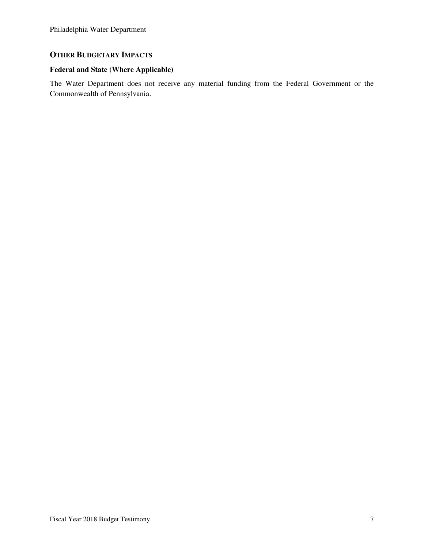## **OTHER BUDGETARY IMPACTS**

### **Federal and State (Where Applicable)**

The Water Department does not receive any material funding from the Federal Government or the Commonwealth of Pennsylvania.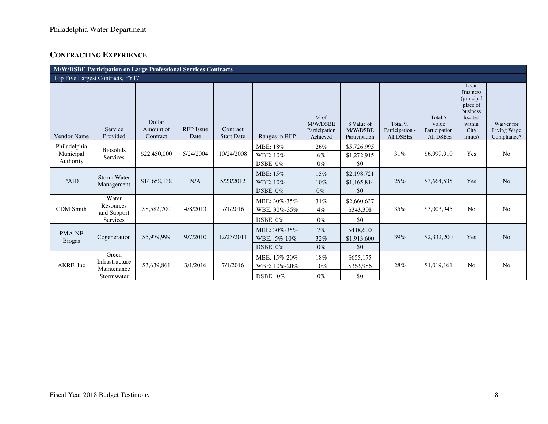## **CONTRACTING EXPERIENCE**

|                                        | M/W/DSBE Participation on Large Professional Services Contracts |                                 |                          |                               |                                                 |                                                 |                                          |                                         |                                                   |                                                                                                        |                                          |
|----------------------------------------|-----------------------------------------------------------------|---------------------------------|--------------------------|-------------------------------|-------------------------------------------------|-------------------------------------------------|------------------------------------------|-----------------------------------------|---------------------------------------------------|--------------------------------------------------------------------------------------------------------|------------------------------------------|
|                                        | Top Five Largest Contracts, FY17                                |                                 |                          |                               |                                                 |                                                 |                                          |                                         |                                                   |                                                                                                        |                                          |
| <b>Vendor Name</b>                     | Service<br>Provided                                             | Dollar<br>Amount of<br>Contract | <b>RFP</b> Issue<br>Date | Contract<br><b>Start Date</b> | Ranges in RFP                                   | $%$ of<br>M/W/DSBE<br>Participation<br>Achieved | \$ Value of<br>M/W/DSBE<br>Participation | Total %<br>Participation -<br>All DSBEs | Total \$<br>Value<br>Participation<br>- All DSBEs | Local<br><b>Business</b><br>(principal<br>place of<br>business<br>located<br>within<br>City<br>limits) | Waiver for<br>Living Wage<br>Compliance? |
| Philadelphia<br>Municipal<br>Authority | <b>Biosolids</b><br>Services                                    | \$22,450,000                    | 5/24/2004                | 10/24/2008                    | MBE: 18%<br>WBE: 10%<br>$DSBE: 0\%$             | $26\%$<br>$6\%$<br>$0\%$                        | \$5,726,995<br>\$1,272,915<br>\$0        | 31%                                     | \$6,999,910                                       | Yes                                                                                                    | No                                       |
| <b>PAID</b>                            | <b>Storm Water</b><br>Management                                | \$14,658,138                    | N/A                      | 5/23/2012                     | MBE: 15%<br>WBE: 10%<br>$DSBE: 0\%$             | 15%<br>10%<br>$0\%$                             | \$2,198,721<br>\$1,465,814<br>\$0        | 25%                                     | \$3,664,535                                       | Yes                                                                                                    | N <sub>o</sub>                           |
| <b>CDM</b> Smith                       | Water<br>Resources<br>and Support<br>Services                   | \$8,582,700                     | 4/8/2013                 | 7/1/2016                      | MBE: 30%-35%<br>WBE: 30%-35%<br><b>DSBE: 0%</b> | 31%<br>$4\%$<br>$0\%$                           | \$2,660,637<br>\$343,308<br>\$0          | 35%                                     | \$3,003,945                                       | N <sub>0</sub>                                                                                         | No                                       |
| PMA-NE<br><b>Biogas</b>                | Cogeneration                                                    | \$5,979,999                     | 9/7/2010                 | 12/23/2011                    | MBE: 30%-35%<br>WBE: 5%-10%<br>DSBE: $0\%$      | 7%<br>32%<br>$0\%$                              | \$418,600<br>\$1,913,600<br>\$0          | 39%                                     | \$2,332,200                                       | Yes                                                                                                    | N <sub>o</sub>                           |
| AKRF, Inc                              | Green<br>Infrastructure<br>Maintenance<br>Stormwater            | \$3,639,861                     | 3/1/2016                 | 7/1/2016                      | MBE: 15%-20%<br>WBE: 10%-20%<br>DSBE: 0%        | 18%<br>$10\%$<br>$0\%$                          | \$655,175<br>\$363,986<br>\$0            | 28%                                     | \$1,019,161                                       | N <sub>o</sub>                                                                                         | No                                       |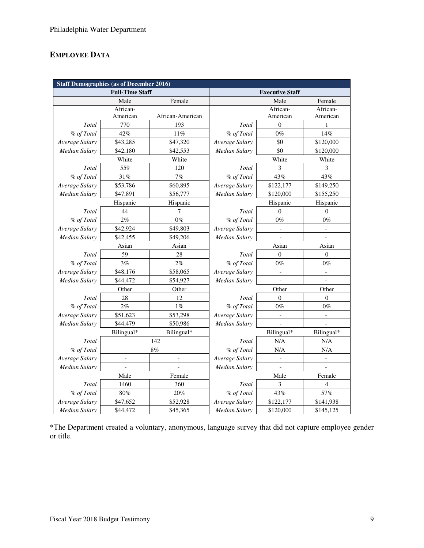## **EMPLOYEE DATA**

| <b>Staff Demographics (as of December 2016)</b> |                          |                          |                        |                          |                          |  |  |
|-------------------------------------------------|--------------------------|--------------------------|------------------------|--------------------------|--------------------------|--|--|
|                                                 | <b>Full-Time Staff</b>   |                          | <b>Executive Staff</b> |                          |                          |  |  |
|                                                 | Male                     | Female                   |                        | Male                     | Female                   |  |  |
|                                                 | African-                 |                          |                        | African-                 | African-                 |  |  |
|                                                 | American                 | African-American         |                        | American                 | American                 |  |  |
| Total                                           | 770                      | 193                      | Total                  | $\mathbf{0}$             | $\mathbf{1}$             |  |  |
| % of Total                                      | 42%                      | 11%                      | % of Total             | $0\%$                    | 14%                      |  |  |
| Average Salary                                  | \$43,285                 | \$47,320                 | Average Salary         | \$0                      | \$120,000                |  |  |
| Median Salary                                   | \$42,180                 | \$42,553                 | Median Salary          | \$0                      | \$120,000                |  |  |
|                                                 | White<br>White           |                          |                        | White                    | White                    |  |  |
| Total                                           | 559                      | 120                      | Total                  | 3                        | 3                        |  |  |
| % of Total                                      | 31%                      | 7%                       | % of Total             | 43%                      | 43%                      |  |  |
| Average Salary                                  | \$53,786                 | \$60,895                 | Average Salary         | \$122,177                | \$149,250                |  |  |
| Median Salary                                   | \$47,891                 | \$56,777                 | <b>Median Salary</b>   | \$120,000                | \$155,250                |  |  |
|                                                 | Hispanic<br>Hispanic     |                          |                        | Hispanic                 | Hispanic                 |  |  |
| Total                                           | 44                       | 7                        | Total                  | $\mathbf{0}$             | $\overline{0}$           |  |  |
| % of Total                                      | 2%                       | $0\%$                    | % of Total             | $0\%$                    | $0\%$                    |  |  |
| Average Salary                                  | \$42,924                 | \$49,803                 | Average Salary         | $\blacksquare$           | $\overline{\phantom{a}}$ |  |  |
| Median Salary                                   | \$42,455<br>\$49,206     |                          | <b>Median Salary</b>   | $\blacksquare$           | $\overline{a}$           |  |  |
| Asian                                           |                          | Asian                    |                        | Asian                    | Asian                    |  |  |
| Total                                           | 59                       | 28                       | Total                  | $\overline{0}$           | $\mathbf{0}$             |  |  |
| % of Total                                      | 3%                       | 2%                       | % of Total             | $0\%$                    | $0\%$                    |  |  |
| Average Salary                                  | \$48,176                 | \$58,065                 | Average Salary         | $\overline{\phantom{a}}$ | $\overline{\phantom{0}}$ |  |  |
| Median Salary                                   | \$44,472                 | \$54,927                 | <b>Median Salary</b>   |                          |                          |  |  |
|                                                 | Other                    | Other                    |                        | Other                    |                          |  |  |
| Total                                           | 28                       | 12                       | Total                  | $\overline{0}$           | $\overline{0}$           |  |  |
| % of Total                                      | 2%                       | $1\%$                    | % of Total             | $0\%$                    | $0\%$                    |  |  |
| Average Salary                                  | \$51,623                 | \$53,298                 | Average Salary         |                          |                          |  |  |
| Median Salary                                   | \$44,479                 | \$50,986                 | Median Salary          |                          |                          |  |  |
|                                                 | Bilingual*               | Bilingual*               |                        | Bilingual*               | Bilingual*               |  |  |
| Total                                           |                          | 142                      | Total                  | N/A                      | N/A                      |  |  |
| % of Total                                      |                          | 8%                       | % of Total             | N/A                      | N/A                      |  |  |
| Average Salary                                  | $\overline{\phantom{a}}$ | $\overline{\phantom{m}}$ | Average Salary         | $\Box$                   | $\frac{1}{2}$            |  |  |
| Median Salary                                   |                          | $\overline{a}$           | Median Salary          | $\overline{\phantom{a}}$ |                          |  |  |
|                                                 | Male                     | Female                   |                        | Male                     | Female                   |  |  |
| Total                                           | 1460                     | 360                      | Total                  | 3                        | 4                        |  |  |
| % of Total                                      | $80\%$                   | 20%                      | % of Total             | 43%                      | 57%                      |  |  |
| Average Salary                                  | \$47,652                 | \$52,928                 | Average Salary         | \$122,177                | \$141,938                |  |  |
| <b>Median Salary</b>                            | \$44,472                 | \$45,365                 | Median Salary          | \$120,000                | \$145,125                |  |  |

\*The Department created a voluntary, anonymous, language survey that did not capture employee gender or title.